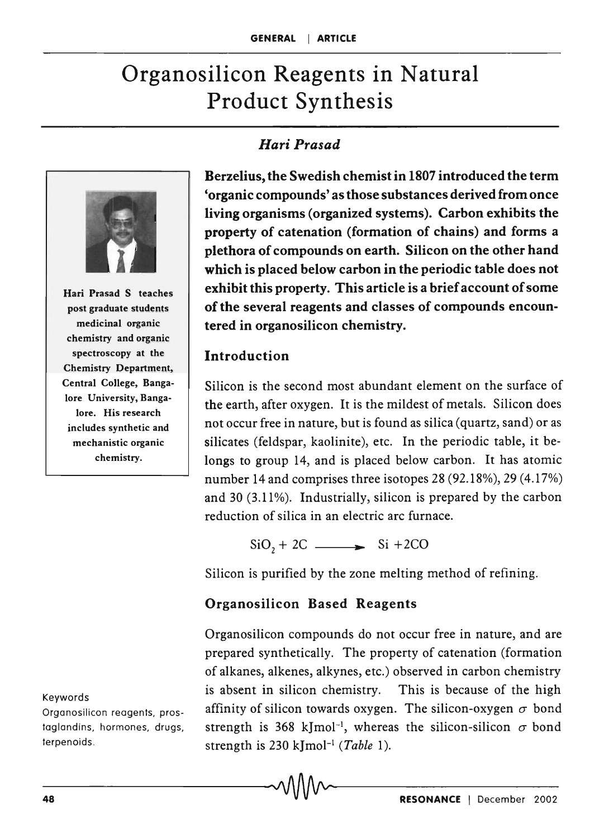# Organosilicon Reagents in Natural Product Synthesis

## *Hari Prasad*



Hari Prasad S teaches post graduate students medicinal organic chemistry and organic spectroscopy at the Chemistry Department, Central College, Bangalore University, Bangalore. His research includes synthetic and mechanistic organic chemistry.

Keywords

Organosilicon reagents, prostaglandins, hormones, drugs, terpenoids .

Berzelius, the Swedish chemist in 1807 introduced the term 'organic compounds' as those substances derived from once living organisms (organized systems). Carbon exhibits the property of catenation (formation of chains) and forms a plethora of compounds on earth. Silicon on the other hand which is placed below carbon in the periodic table does not exhibit this property. This article is a brief account of some of the several reagents and classes of compounds encountered in organosilicon chemistry.

#### Introduction

Silicon is the second most abundant element on the surface of the earth, after oxygen. It is the mildest of metals. Silicon does not occur free in nature, but is found as silica (quartz, sand) or as silicates (feldspar, kaolinite), etc. In the periodic table, it belongs to group 14, and is placed below carbon. It has atomic number 14 and comprises three isotopes 28 (92.18%), 29 (4.17%) and 30 (3.11%). Industrially, silicon is prepared by the carbon reduction of silica in an electric arc furnace.

 $SiO_2 + 2C$   $\longrightarrow$   $Si + 2CO$ 

Silicon is purified by the zone melting method of refining.

#### Organosilicon Based Reagents

Organosilicon compounds do not occur free in nature, and are prepared synthetically. The property of catenation (formation of alkanes, alkenes, alkynes, etc.) observed in carbon chemistry is absent in silicon chemistry. This is because of the high affinity of silicon towards oxygen. The silicon-oxygen  $\sigma$  bond strength is 368 kJmol<sup>-1</sup>, whereas the silicon-silicon  $\sigma$  bond strength is 230 kJmol-1 *(Table 1).*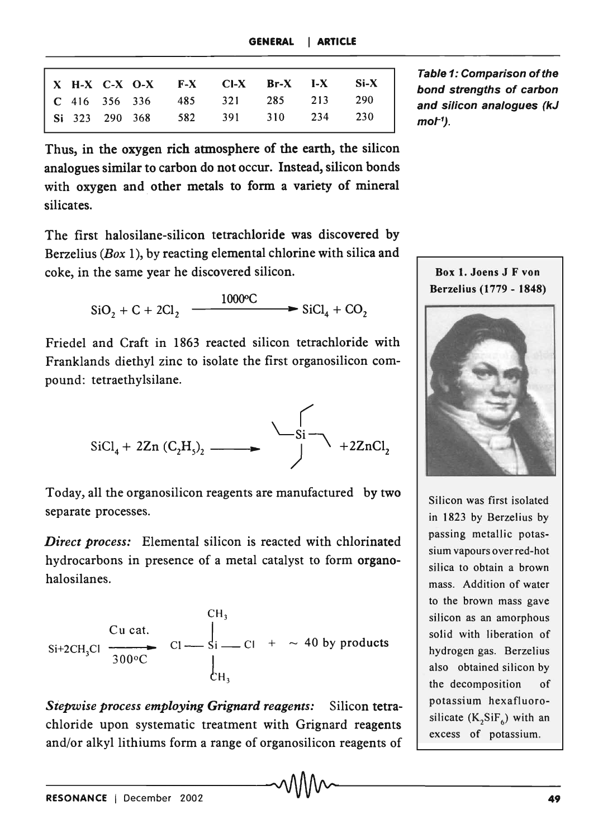|  |  | X H-X C-X O-X F-X CI-X Br-X I-X Si-X |  |  |
|--|--|--------------------------------------|--|--|
|  |  | C 416 356 336 485 321 285 213 290    |  |  |
|  |  | Si 323 290 368 582 391 310 234 230   |  |  |

Thus, in the oxygen rich atmosphere of the earth, the silicon analogues similar to carbon do not occur. Instead, silicon bonds with oxygen and other metals to form a variety of mineral silicates.

The first halosilane-silicon tetrachloride was discovered by Berzelius *(Box* 1), by reacting elemental chlorine with silica and coke, in the same year he discovered silicon.

$$
SiO2 + C + 2Cl2 \xrightarrow{1000°C} SiCl4 + CO2
$$

Friedel and Craft in 1863 reacted silicon tetrachloride with Franklands diethyl zinc to isolate the first organosilicon compound: tetraethylsilane.



Today, all the organosilicon reagents are manufactured by two separate processes.

*Direct process:* Elemental silicon is reacted with chlorinated hydrocarbons in presence of a metal catalyst to form organohalosilanes.

$$
\begin{array}{ccc}\n\text{Cu cat.} & \text{C1} & \text{C1} \\
\text{Si} + 2\text{CH}_3\text{Cl} & \overline{300\degree\text{C}} & \text{C1} & \text{C1} & + & \sim 40 \text{ by products} \\
& \text{C1} & \text{C1} & \text{C1} & \text{C1} & + & \sim 40 \text{ by products} \\
& \text{C1} & \text{C1} & \text{C1} & \text{C1} & + & \sim 40 \text{ by products} \\
& \text{C1} & \text{C1} & \text{C1} & \text{C1} & + & \sim 40 \text{ by products} \\
& & \text{C1} & \text{C1} & \text{C1} & \text{C1} & + & \sim 40 \text{ by products} \\
& & \text{C1} & \text{C2} & \text{C1} & \text{C1} & + & \sim 40 \text{ by products} \\
& & \text{C1} & \text{C2} & \text{C1} & \text{C1} & + & \sim 40 \text{ by products} \\
& & \text{C1} & \text{C2} & \text{C1} & \text{C1} & + & \sim 40 \text{ by products} \\
& & \text{C1} & \text{C2} & \text{C1} & \text{C1} & + & \sim 40 \text{ by products} \\
& & \text{C1} & \text{C1} & \text{C1} & \text{C1} & + & \sim 40 \text{ by products} \\
& & \text{C1} & \text{C1} & \text{C1} & \text{C1} & + & \sim 40 \text{ by products} \\
& & \text{C1} & \text{C1} & \text{C1} & \text{C1} & + & \sim 40 \text{ by products} \\
& & \text{C1} & \text{C1} & \text{C1} & \text{
$$

*Siepwise process employing Grignard reagents:* Silicon tetrachloride upon systematic treatment with Grignard reagents and/or alkyl lithiums form a range of organosilicon reagents of Table 1: Comparison of the bond strengths of carbon and silicon analogues (kJ mot-1 ).



Silicon was first isolated in 1823 by Berzelius by passing metallic potassium vapours over red-hot silica to obtain a brown mass. Addition of water to the brown mass gave silicon as an amorphous solid with liberation of hydrogen gas. Berzelius also obtained silicon by the decomposition of potassium hexafluorosilicate  $(K_2SiF_6)$  with an excess of potassium.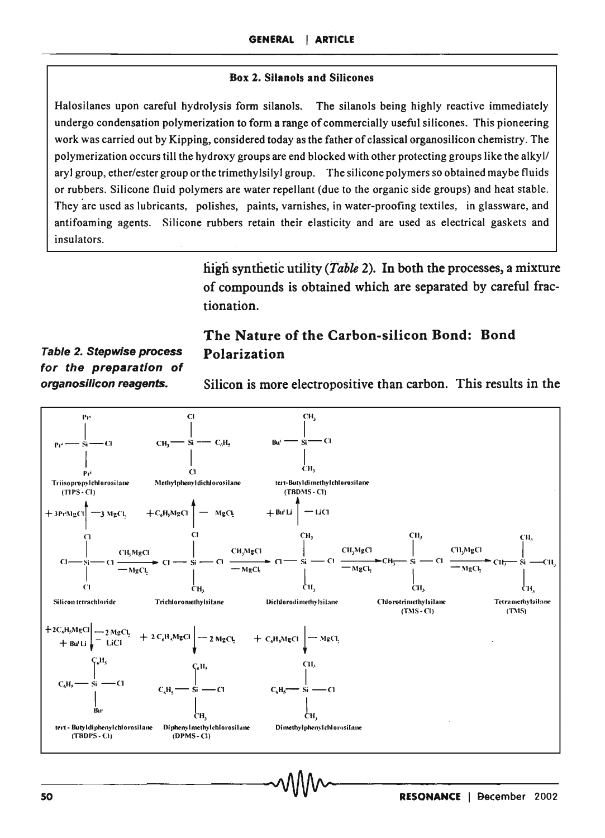#### **Box 2. Silanols and Silicones**

Halosilanes upon careful hydrolysis form silanols. The silanols being highly reactive immediately undergo condensation polymerization to form a range of commercially useful silicones. This pioneering work was carried out by Kipping, considered today as the father of classical organosilicon chemistry. The polymerization occurs till the hydroxy groups are end blocked with other protecting groups like the alkyl/ aryl group, ether/ester group or the trimethylsilyl group. The silicone polymers so obtained maybe fluids or rubbers. Silicone fluid polymers are water repellant (due to the organic side groups) and heat stable. They are used as lubricants, polishes, paints, varnishes, in water-proofing textiles, in glassware, and antifoaming agents. Silicone rubbers retain their elasticity and are used as electrical gaskets and insulators.

> high synthetic utility (*Table 2*). In both the processes, a mixture of compounds is obtained which are separated by careful fractionation.

**Table 2. Stepwise process** for the preparation of organosilicon reagents.

#### The Nature of the Carbon-silicon Bond: Bond Polarization

Silicon is more electropositive than carbon. This results in the

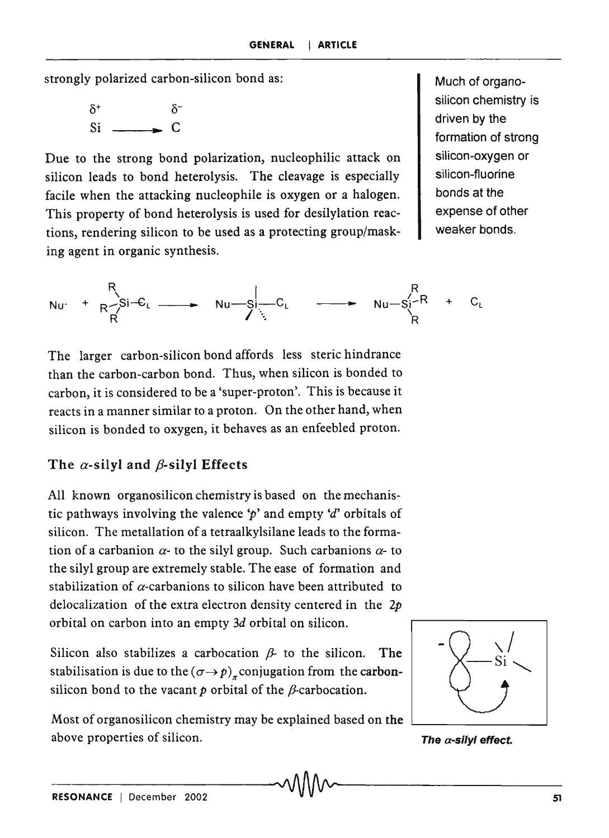strongly polarized carbon-silicon bond as: Much of organo-

 $\delta^+$  $\delta^ Si \sim c$ 

Due to the strong bond polarization, nucleophilic attack on silicon leads to bond heterolysis. The cleavage is especially facile when the attacking nucleophile is oxygen or a halogen. This property of bond heterolysis is used for desilylation reactions, rendering silicon to be used as a protecting group/masking agent in organic synthesis.

silicon chemistry is driven by the formation of strong silicon-oxygen or silicon-fluorine bonds at the expense of other weaker bonds.

$$
Nu \cdot + \begin{array}{ccc} R & R \\ R & S & \xrightarrow{\text{Si}-C_L} \end{array} \longrightarrow Nu-S\begin{array}{ccc} C_L & \xrightarrow{\text{Si}-R} & + & C_L \\ \downarrow & C & \searrow{\text{Ni}-S\begin{array}{ccc}R & & \\ & R & \xrightarrow{\text{Si}-R} \end{array}} \end{array}
$$

The larger carbon-silicon bond affords less steric hindrance than the carbon-carbon bond. Thus, when silicon is bonded to carbon, it is considered to be a'super-proton'. This is because it reacts in a manner similar to a proton. On the other hand, when silicon is bonded to oxygen, it behaves as an enfeebled proton.

#### The  $\alpha$ -silyl and  $\beta$ -silyl Effects

All known organosilicon chemistry is based on the mechanistic pathways involving the valence  $\gamma'$  and empty  $d'$  orbitals of silicon. The metallation of a tetraalkylsilane leads to the formation of a carbanion  $\alpha$ - to the silyl group. Such carbanions  $\alpha$ - to the silyl group are extremely stable. The ease of formation and stabilization of  $\alpha$ -carbanions to silicon have been attributed to delocalization of the extra electron density centered in the *2p*  orbital on carbon into an empty *3d* orbital on silicon.

Silicon also stabilizes a carbocation  $\beta$ - to the silicon. The stabilisation is due to the  $(\sigma \rightarrow p)_\pi$  conjugation from the carbonsilicon bond to the vacant  $p$  orbital of the  $\beta$ -carbocation.

Most of organosilicon chemistry may be explained based on the above properties of silicon.



The  $\alpha$ -silyl effect.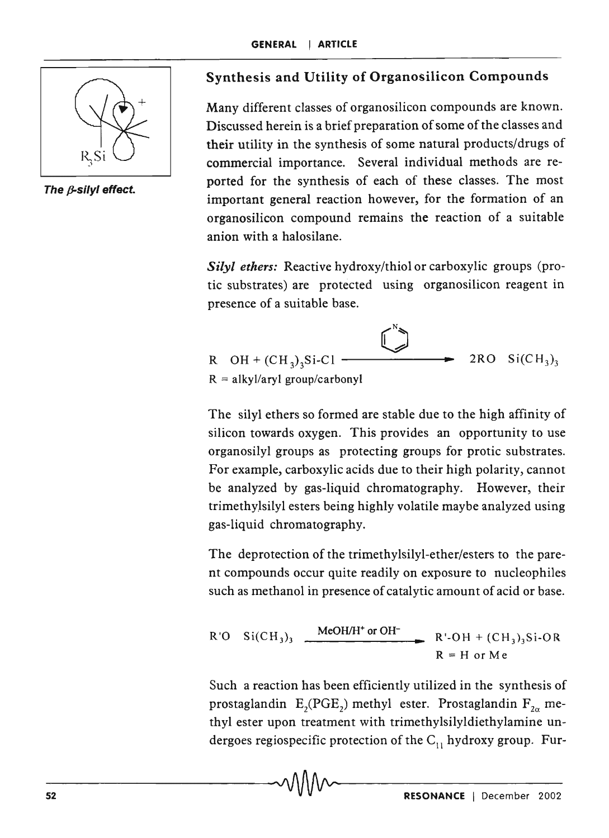

The  $\beta$ -silyl effect.

### Synthesis and Utility of Organosilicon Compounds

Many different classes of organosilicon compounds are known. Discussed herein is a brief preparation of some of the classes and their utility in the synthesis of some natural products/drugs of commercial importance. Several individual methods are reported for the synthesis of each of these classes. The most important general reaction however, for the formation of an organosilicon compound remains the reaction of a suitable anion with a halosilane.

*Silyl ethers:* Reactive hydroxy/thiol or carboxylic groups (protic substrates) are protected using organosilicon reagent in presence of a suitable base.

N o R OR <sup>+</sup>(CR3)3Si-Cl -------1..... 2RO Si(CH3 )3 R = alkyl/aryl group/carbonyl

The silyl ethers so formed are stable due to the high affinity of silicon towards oxygen. This provides an opportunity to use organosilyl groups as protecting groups for protic substrates. For example, carboxylic acids due to their high polarity, cannot be analyzed by gas-liquid chromatography. However, their trimethylsilyl esters being highly volatile maybe analyzed using gas-liquid chromatography.

The deprotection of the trimethylsilyl-ether/esters to the parent compounds occur quite readily on exposure to nucleophiles such as methanol in presence of catalytic amount of acid or base.

R'O Si(CH<sub>3</sub>)<sub>3</sub> 
$$
\xrightarrow{\text{MeOH/H}^+ \text{ or OH}^-} \text{R'}-OH + (CH_3)_3 \text{Si-OR}
$$
  
R = H or Me

Such a reaction has been efficiently utilized in the synthesis of prostaglandin  $\text{E}_{2}(\text{PGE}_{2})$  methyl ester. Prostaglandin  $\text{F}_{2\alpha}$  methyl ester upon treatment with trimethylsilyldiethylamine undergoes regiospecific protection of the  $C_{11}$  hydroxy group. Fur-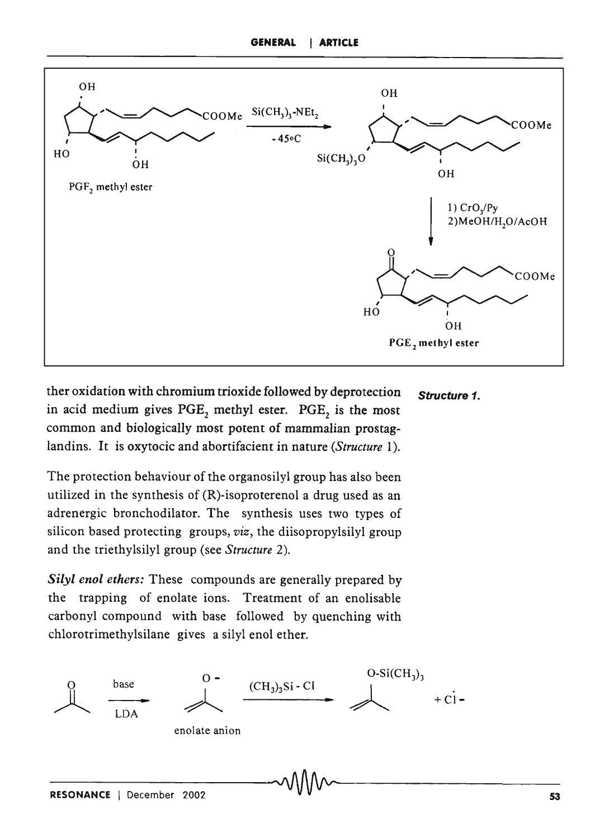

ther oxidation with chromium trioxide followed by deprotection Structure 1. in acid medium gives PGE, methyl ester. PGE, is the most common and biologically most potent of mammalian prostaglandins. It is oxytocic and abortifacient in nature *(Structure 1).* 

The protection behaviour of the organosilyl group has also been utilized in the synthesis of (R)-isoproterenol a drug used as an adrenergic bronchodilator. The synthesis uses two types of silicon based protecting groups, *viz,* the diisopropylsilyl group and the triethylsilyl group (see *Structure 2).* 

*Silyl enol ethers:* These compounds are generally prepared by the trapping of enolate ions. Treatment of an enolisable carbonyl compound with base followed by quenching with chlorotrimethylsilane gives a silyl enol ether.

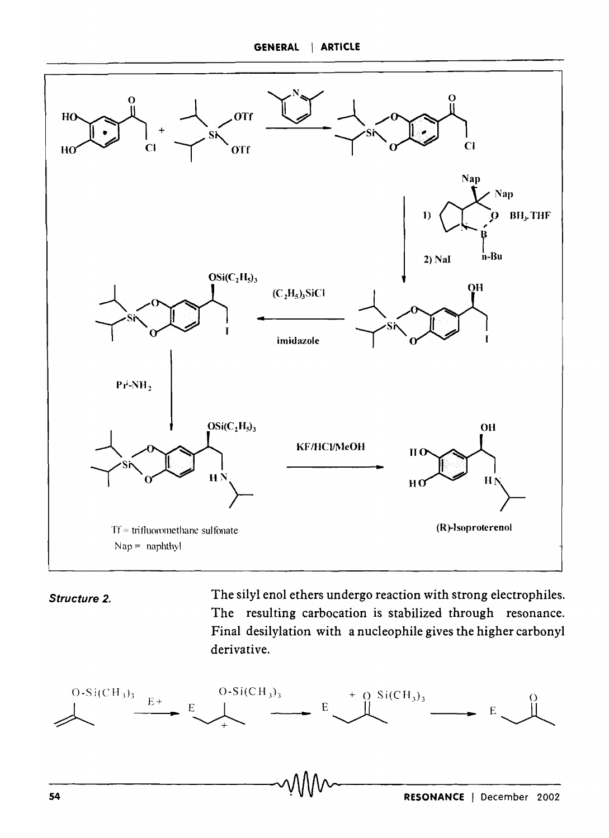

Structure 2.

The silyl enol ethers undergo reaction with strong electrophiles. The resulting carbocation is stabilized through resonance. Final desilylation with a nucleophile gives the higher carbonyl derivative.

$$
E \longrightarrow E
$$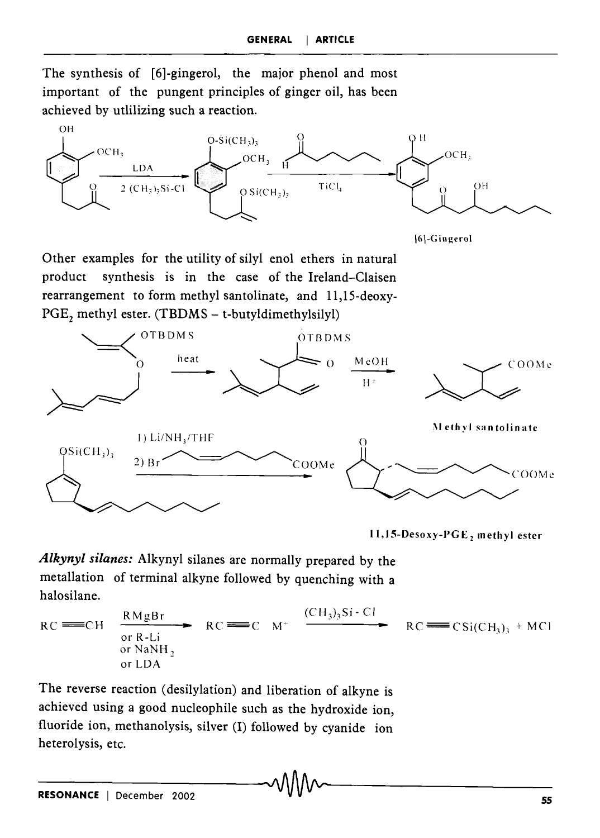The synthesis of [6]-gingerol, the major phenol and most important of the pungent principles of ginger oil, has been achieved by utlilizing such a reaction.



16]-G ingerol

Other examples for the utility of silyl enol ethers in natural product synthesis is in the case of the Ireland-Claisen rearrangement to form methyl santolinate, and 11,lS-deoxy- $PGE_2$  methyl ester. (TBDMS – t-butyldimethylsilyl)



11, 15-Desoxy-PGE, methyl ester

*Alkynyl silanes:* Alkynyl silanes are normally prepared by the metallation of terminal alkyne followed by quenching with a halo silane.

 $RC \equiv C$ H  $R$ MgBr  $RC = C$  M<sup>+</sup>  $\frac{(CH_3)_3Si-Cl}{CH_3^2}$  $RC \equiv C \quad M^+$ or R-Li or NaNH, or LOA  $RC \equiv \text{CSi}(CH_3)$ <sub>3</sub> + MCI

The reverse reaction (desilylation) and liberation of alkyne is achieved using a good nucleophile such as the hydroxide ion, fluoride ion, methanolysis, silver (I) followed by cyanide ion heterolysis, etc. \_\_\_\_\_\_\_\_ ,AA~AA" \_\_\_\_\_\_ \_\_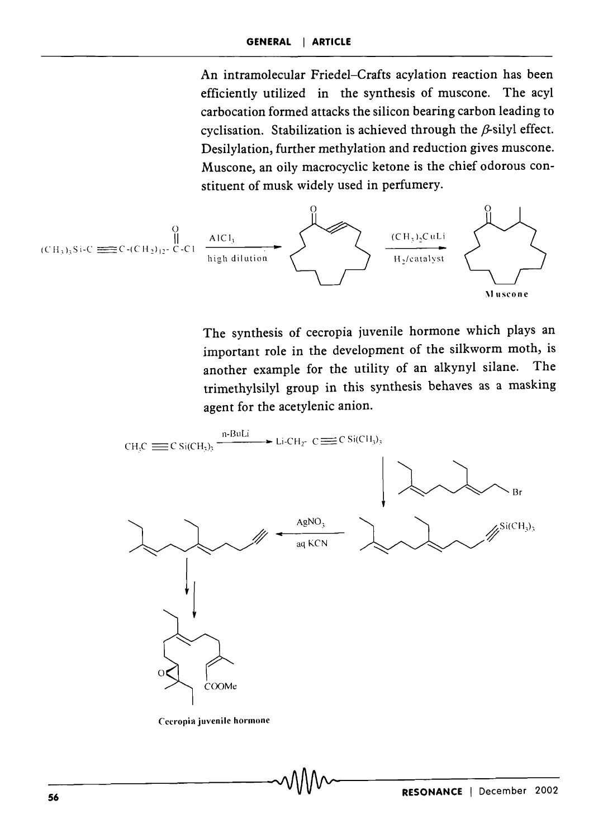An intramolecular Friedel-Crafts acylation reaction has been efficiently utilized in the synthesis of muscone. The acyl carbocation formed attacks the silicon bearing carbon leading to cyclisation. Stabilization is achieved through the  $\beta$ -silyl effect. Desilylation, further methylation and reduction gives muscone. Muscone, an oily macrocyclic ketone is the chief odorous constituent of musk widely used in perfumery.



The synthesis of cecropia juvenile hormone which plays an important role in the development of the silkworm moth, is another example for the utility of an alkynyl silane. The trimethylsilyl group in this synthesis behaves as a masking agent for the acetylenic anion.



Cecropia juvenile hormone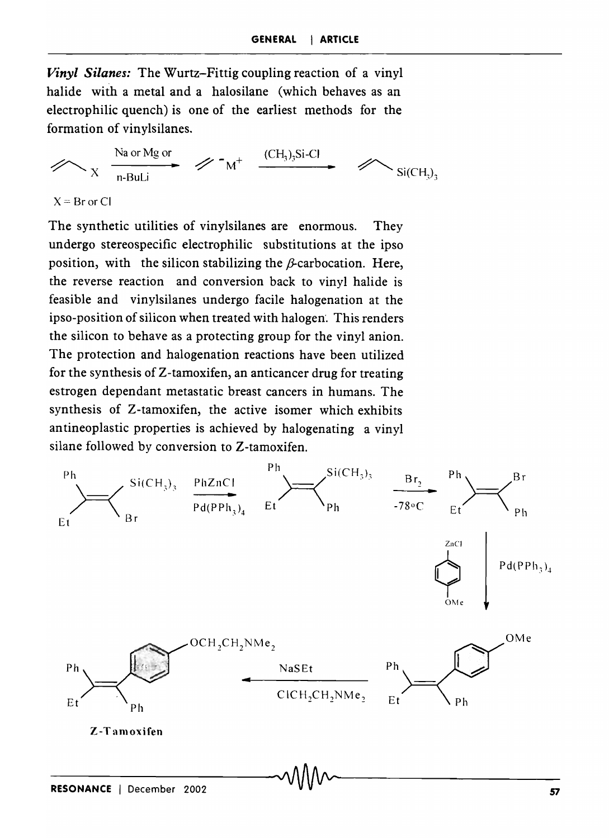*Vinyl Silanes:* The Wurtz-Fittig coupling reaction of a vinyl halide with a metal and a halosilane (which behaves as an electrophilic quench) is one of the earliest methods for the formation of vinylsilanes.

Na or Mg or<br>  $\overline{n}$ -BuLi<br>  $\overline{n}$   $\overline{n}$   $\overline{n}$   $\overline{n}$   $\overline{n}$   $\overline{n}$   $\overline{n}$   $\overline{n}$   $\overline{n}$   $\overline{n}$   $\overline{n}$   $\overline{n}$   $\overline{n}$   $\overline{n}$   $\overline{n}$   $\overline{n}$   $\overline{n}$   $\overline{n}$   $\overline{n}$   $\overline{n}$   $\overline{n}$   $\overline{n}$   $\overline{n}$   $\overline{n}$   $\$ 

 $X = Br$  or Cl

The synthetic utilities of vinylsilanes are enormous. They undergo stereospecific electrophilic substitutions at the ipso position, with the silicon stabilizing the  $\beta$ -carbocation. Here, the reverse reaction and conversion back to vinyl halide is feasible and vinylsilanes undergo facile halogenation at the ipso-position of silicon when treated with halogen'. This renders the silicon to behave as a protecting group for the vinyl anion. The protection and halogenation reactions have been utilized for the synthesis of Z-tamoxifen, an anticancer drug for treating estrogen dependant metastatic breast cancers in humans. The synthesis of Z-tamoxifen, the active isomer which exhibits antineoplastic properties is achieved by halogenating a vinyl silane followed by conversion to Z-tamoxifen.

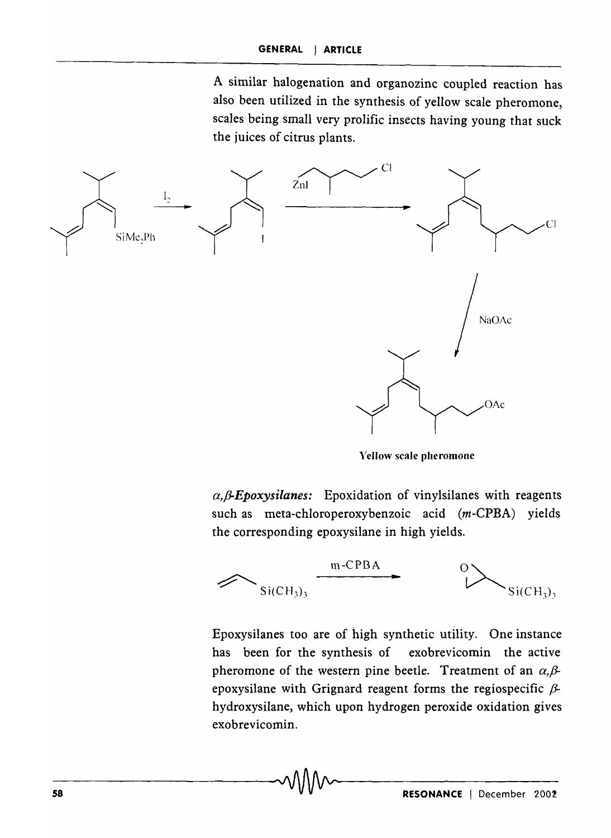A similar halogenation and organozinc coupled reaction has also been utilized in the synthesis of yellow scale pheromone, scales being small very prolific insects having young that suck the juices of citrus plants.



Yellow scale pheromone

 $\alpha$ ,  $\beta$ -Epoxysilanes: Epoxidation of vinylsilanes with reagents such as meta-chloroperoxybenzoic acid (m-CPBA) yields the corresponding epoxysilane in high yields.



Epoxysilanes too are of high synthetic utility. One instance has been for the synthesis of exobrevicomin the active pheromone of the western pine beetle. Treatment of an  $\alpha$ , $\beta$ epoxysilane with Grignard reagent forms the regiospecific  $\beta$ hydroxysilane, which upon hydrogen peroxide oxidation gives exobrevicomin.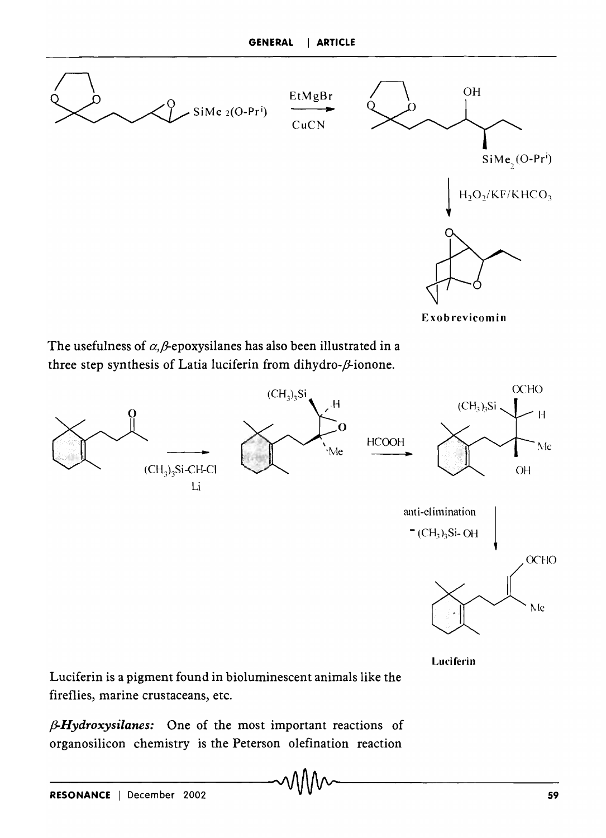

The usefulness of  $\alpha$ , $\beta$ -epoxysilanes has also been illustrated in a three step synthesis of Latia luciferin from dihydro- $\beta$ -ionone.



Luciferin

Luciferin is a pigment found in bioluminescent animals like the fireflies, marine crustaceans, etc.

*f3-Hydroxysilanes:* One of the most important reactions of organosilicon chemistry is the Peterson olefination reaction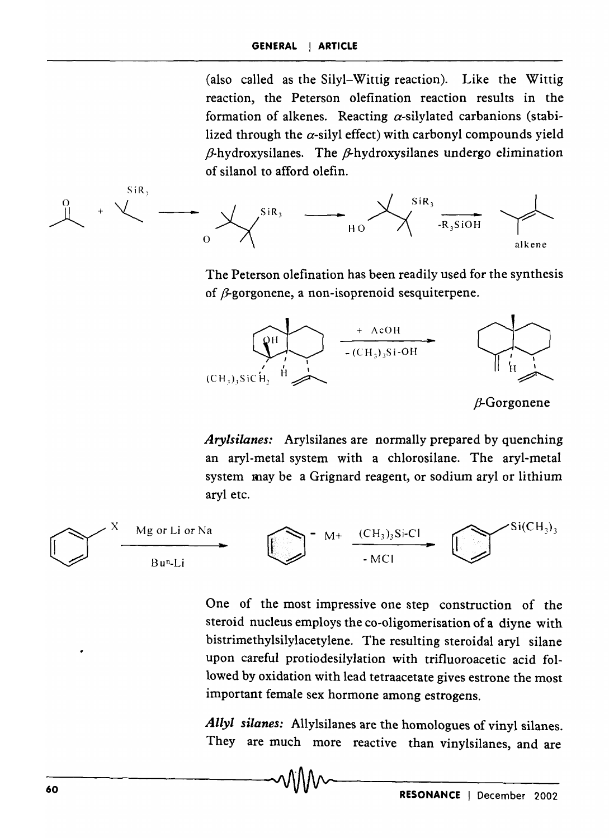(also called as the Silyl-Wittig reaction). Like the Wittig reaction, the Peterson olefination reaction results in the formation of alkenes. Reacting  $\alpha$ -silylated carbanions (stabilized through the  $\alpha$ -silyl effect) with carbonyl compounds yield  $\beta$ -hydroxysilanes. The  $\beta$ -hydroxysilanes undergo elimination of silanol to afford olefin.



The Peterson olefination has been readily used for the synthesis of  $\beta$ -gorgonene, a non-isoprenoid sesquiterpene.



*Arylsilanes:* Arylsilanes are normally prepared by quenching an aryl-metal system with a chlorosilane. The aryl-metal system may be a Grignard reagent, or sodium aryl or lithium aryl etc.



One of the most impressive one step construction of the steroid nucleus employs the co-oligomerisation of a diyne with bistrimethylsilylacetylene. The resulting steroidal aryl silane upon careful protiodesilylation with trifluoroacetic acid followed by oxidation with lead tetraacetate gives estrone the most important female sex hormone among estrogens.

*Allyl silanes:* Allylsilanes are the homologues of vinyl silanes. They are much more reactive than vinylsilanes, and are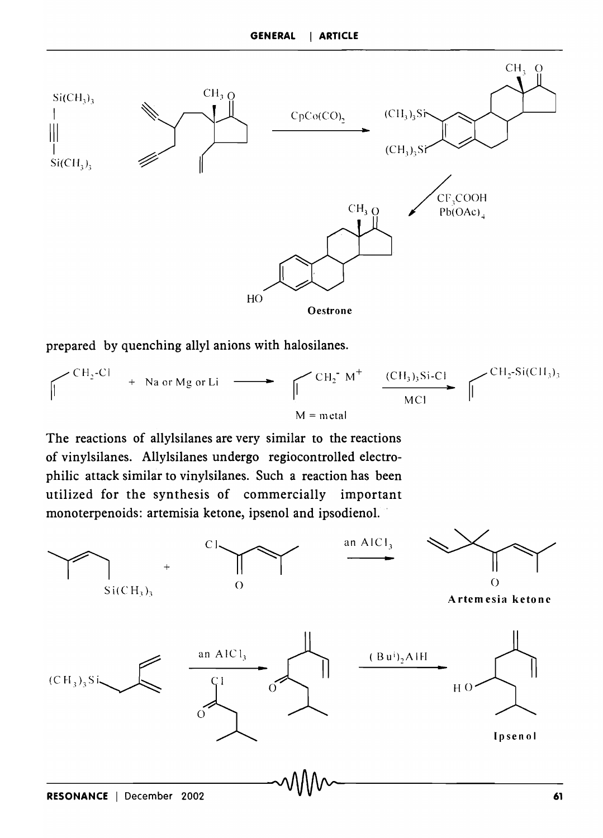

prepared by quenching allyl anions with halosilanes.



The reactions of allylsilanes are very similar to the reactions of vinylsilanes. Allylsilanes undergo regiocontrolled electrophilic attack similar to vinylsilanes. Such a reaction has been utilized for the synthesis of commercially important

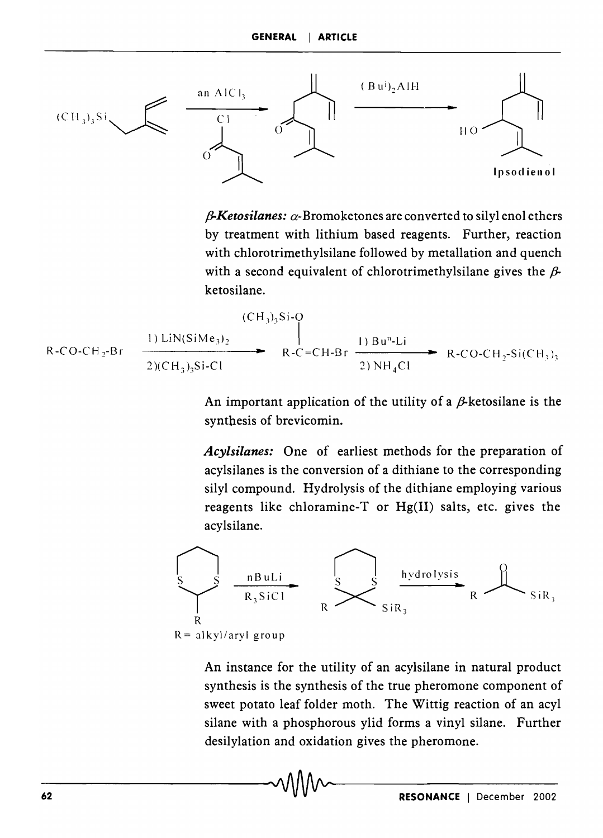

 $\beta$ -Ketosilanes:  $\alpha$ -Bromoketones are converted to silyl enol ethers by treatment with lithium based reagents. Further, reaction with chlorotrimethylsilane followed by metallation and quench with a second equivalent of chlorotrimethylsilane gives the  $\beta$ ketosilane.

$$
R-CO-CH_2-Br
$$
\n
$$
R-CO-CH_2-Br
$$
\n
$$
R-C=CH-Br
$$
\n
$$
R-C=CH-Br
$$
\n
$$
R-CO-CH_2-Si(CH_3)_3
$$
\n
$$
R-C=CH-Br
$$
\n
$$
R-CO-CH_2-Si(CH_3)_3
$$

An important application of the utility of a  $\beta$ -ketosilane is the synthesis of brevicomin.

*Acylsilanes:* One of earliest methods for the preparation of acylsilanes is the conversion of a dithiane to the corresponding silyl compound. Hydrolysis of the dithiane employing various reagents like chloramine-T or  $Hg(II)$  salts, etc. gives the acylsilane.



An instance for the utility of an acylsilane in natural product synthesis is the synthesis of the true pheromone component of sweet potato leaf folder moth. The Wittig reaction of an acyl silane with a phosphorous ylid forms a vinyl silane. Further desilylation and oxidation gives the pheromone.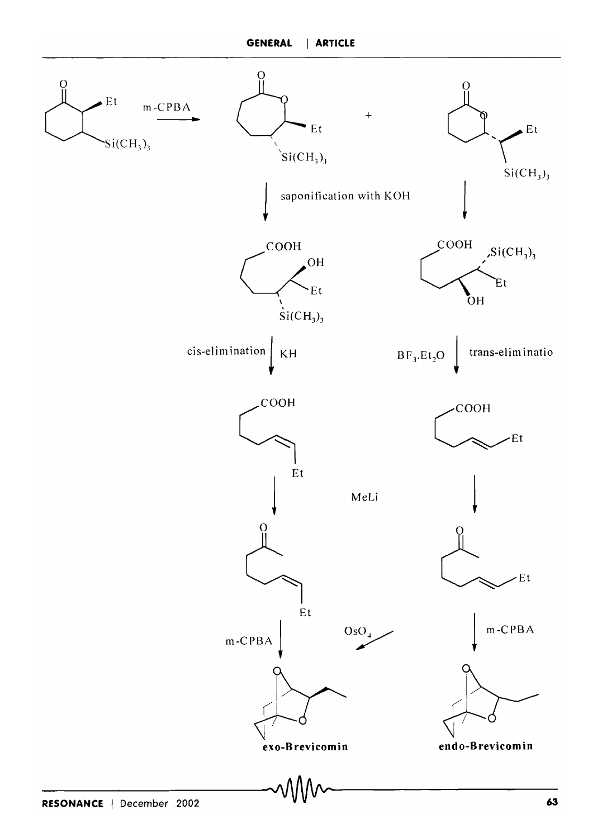